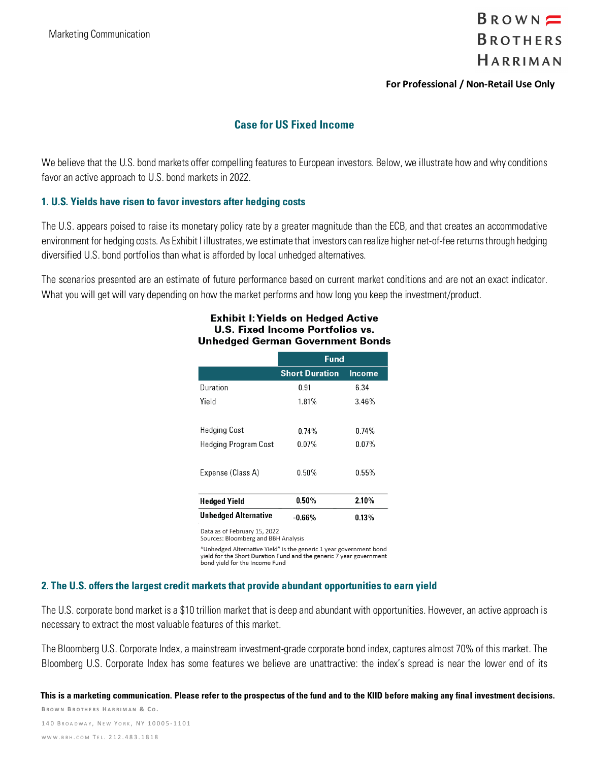

#### **For Professional / Non-Retail Use Only**

### **Case for US Fixed Income**

We believe that the U.S. bond markets offer compelling features to European investors. Below, we illustrate how and why conditions favor an active approach to U.S. bond markets in 2022.

#### **1. U.S. Yields have risen to favor investors after hedging costs**

The U.S. appears poised to raise its monetary policy rate by a greater magnitude than the ECB, and that creates an accommodative environment for hedging costs. As Exhibit I illustrates, we estimate that investors can realize higher net-of-fee returns through hedging diversified U.S. bond portfolios than what is afforded by local unhedged alternatives.

The scenarios presented are an estimate of future performance based on current market conditions and are not an exact indicator. What you will get will vary depending on how the market performs and how long you keep the investment/product.

#### **Exhibit I: Yields on Hedaed Active U.S. Fixed Income Portfolios vs. Unhedged German Government Bonds**

|                             | Fund                  |               |
|-----------------------------|-----------------------|---------------|
|                             | <b>Short Duration</b> | <b>Income</b> |
| Duration                    | 0.91                  | 6.34          |
| Yield                       | 1.81%                 | 3.46%         |
|                             |                       |               |
| Hedging Cost                | 0.74%                 | 0.74%         |
| Hedging Program Cost        | $0.07\%$              | $0.07\%$      |
|                             |                       |               |
| Expense (Class A)           | 0.50%                 | 0.55%         |
|                             |                       |               |
| <b>Hedged Yield</b>         | 0.50%                 | 2.10%         |
| <b>Unhedged Alternative</b> | $-0.66\%$             | $0.13\%$      |

Data as of February 15, 2022

Sources: Bloomberg and BBH Analysis

"Unhedged Alternative Yield" is the generic 1 year government bond yield for the Short Duration Fund and the generic  $\overline{7}$  year government bond yield for the Income Fund

#### **2. The U.S. offers the largest credit markets that provide abundant opportunities to earn yield**

The U.S. corporate bond market is a \$10 trillion market that is deep and abundant with opportunities. However, an active approach is necessary to extract the most valuable features of this market.

The Bloomberg U.S. Corporate Index, a mainstream investment-grade corporate bond index, captures almost 70% of this market. The Bloomberg U.S. Corporate Index has some features we believe are unattractive: the index's spread is near the lower end of its

**B ROWN B ROTHERS H ARRIMAN & C O .** 140 BROADWAY, NEW YORK, NY 10005-1101 **This is a marketing communication. Please refer to the prospectus of the fund and to the KIID before making any final investment decisions.**

WWW.BBH.COM TEL. 212.483.1818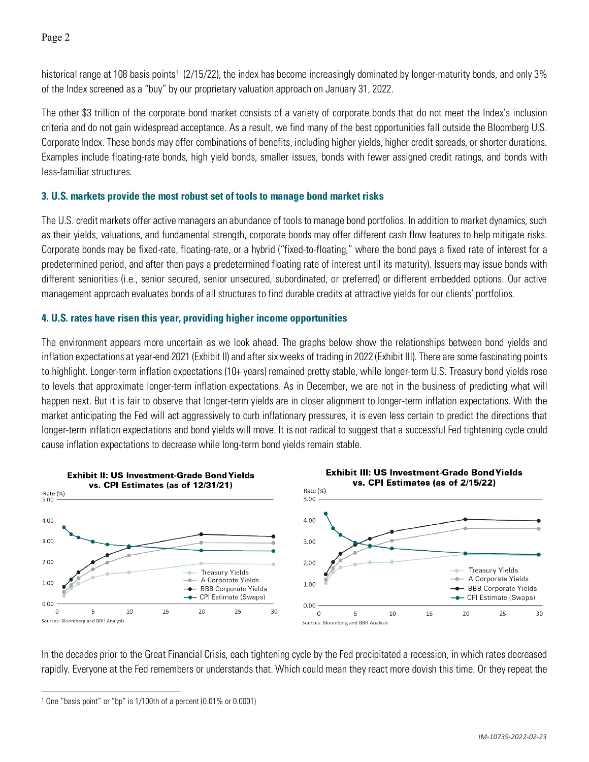Page 2

historical range at [1](#page-1-0)08 basis points<sup>1</sup> (2/15/22), the index has become increasingly dominated by longer-maturity bonds, and only 3% of the Index screened as a "buy" by our proprietary valuation approach on January 31, 2022.

The other \$3 trillion of the corporate bond market consists of a variety of corporate bonds that do not meet the Index's inclusion criteria and do not gain widespread acceptance. As a result, we find many of the best opportunities fall outside the Bloomberg U.S. Corporate Index. These bonds may offer combinations of benefits, including higher yields, higher credit spreads, or shorter durations. Examples include floating-rate bonds, high yield bonds, smaller issues, bonds with fewer assigned credit ratings, and bonds with less-familiar structures.

## **3. U.S. markets provide the most robust set of tools to manage bond market risks**

The U.S. credit markets offer active managers an abundance of tools to manage bond portfolios. In addition to market dynamics, such as their yields, valuations, and fundamental strength, corporate bonds may offer different cash flow features to help mitigate risks. Corporate bonds may be fixed-rate, floating-rate, or a hybrid ("fixed-to-floating," where the bond pays a fixed rate of interest for a predetermined period, and after then pays a predetermined floating rate of interest until its maturity). Issuers may issue bonds with different seniorities (i.e., senior secured, senior unsecured, subordinated, or preferred) or different embedded options. Our active management approach evaluates bonds of all structures to find durable credits at attractive yields for our clients' portfolios.

# **4. U.S. rates have risen this year, providing higher income opportunities**

The environment appears more uncertain as we look ahead. The graphs below show the relationships between bond yields and inflation expectations at year-end 2021 (Exhibit II) and after six weeks of trading in 2022 (Exhibit III). There are some fascinating points to highlight. Longer-term inflation expectations (10+ years) remained pretty stable, while longer-term U.S. Treasury bond yields rose to levels that approximate longer-term inflation expectations. As in December, we are not in the business of predicting what will happen next. But it is fair to observe that longer-term yields are in closer alignment to longer-term inflation expectations. With the market anticipating the Fed will act aggressively to curb inflationary pressures, it is even less certain to predict the directions that longer-term inflation expectations and bond yields will move. It is not radical to suggest that a successful Fed tightening cycle could cause inflation expectations to decrease while long-term bond yields remain stable.



In the decades prior to the Great Financial Crisis, each tightening cycle by the Fed precipitated a recession, in which rates decreased rapidly. Everyone at the Fed remembers or understands that. Which could mean they react more dovish this time. Or they repeat the

<span id="page-1-0"></span> $1$  One "basis point" or "bp" is 1/100th of a percent (0.01% or 0.0001)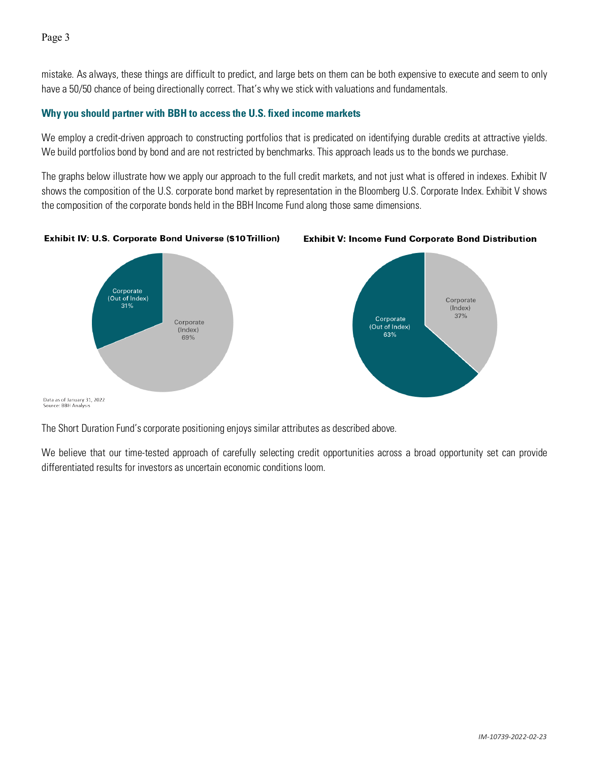mistake. As always, these things are difficult to predict, and large bets on them can be both expensive to execute and seem to only have a 50/50 chance of being directionally correct. That's why we stick with valuations and fundamentals.

# **Why you should partner with BBH to access the U.S. fixed income markets**

We employ a credit-driven approach to constructing portfolios that is predicated on identifying durable credits at attractive yields. We build portfolios bond by bond and are not restricted by benchmarks. This approach leads us to the bonds we purchase.

The graphs below illustrate how we apply our approach to the full credit markets, and not just what is offered in indexes. Exhibit IV shows the composition of the U.S. corporate bond market by representation in the Bloomberg U.S. Corporate Index. Exhibit V shows the composition of the corporate bonds held in the BBH Income Fund along those same dimensions.

Exhibit IV: U.S. Corporate Bond Universe (\$10 Trillion)





Data as of January 31, 2022 Source: BBH Analysi

The Short Duration Fund's corporate positioning enjoys similar attributes as described above.

We believe that our time-tested approach of carefully selecting credit opportunities across a broad opportunity set can provide differentiated results for investors as uncertain economic conditions loom.

Page 3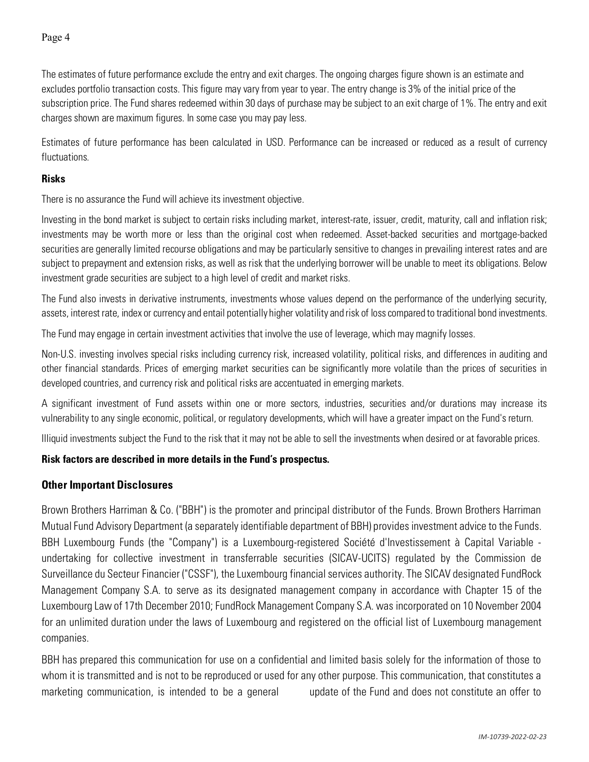The estimates of future performance exclude the entry and exit charges. The ongoing charges figure shown is an estimate and excludes portfolio transaction costs. This figure may vary from year to year. The entry change is 3% of the initial price of the subscription price. The Fund shares redeemed within 30 days of purchase may be subject to an exit charge of 1%. The entry and exit charges shown are maximum figures. In some case you may pay less.

Estimates of future performance has been calculated in USD. Performance can be increased or reduced as a result of currency fluctuations.

### **Risks**

There is no assurance the Fund will achieve its investment objective.

Investing in the bond market is subject to certain risks including market, interest-rate, issuer, credit, maturity, call and inflation risk; investments may be worth more or less than the original cost when redeemed. Asset-backed securities and mortgage-backed securities are generally limited recourse obligations and may be particularly sensitive to changes in prevailing interest rates and are subject to prepayment and extension risks, as well as risk that the underlying borrower will be unable to meet its obligations. Below investment grade securities are subject to a high level of credit and market risks.

The Fund also invests in derivative instruments, investments whose values depend on the performance of the underlying security, assets, interest rate, index or currency and entail potentially higher volatility and risk of loss compared to traditional bond investments.

The Fund may engage in certain investment activities that involve the use of leverage, which may magnify losses.

Non-U.S. investing involves special risks including currency risk, increased volatility, political risks, and differences in auditing and other financial standards. Prices of emerging market securities can be significantly more volatile than the prices of securities in developed countries, and currency risk and political risks are accentuated in emerging markets.

A significant investment of Fund assets within one or more sectors, industries, securities and/or durations may increase its vulnerability to any single economic, political, or regulatory developments, which will have a greater impact on the Fund's return.

Illiquid investments subject the Fund to the risk that it may not be able to sell the investments when desired or at favorable prices.

# **Risk factors are described in more details in the Fund's prospectus.**

# **Other Important Disclosures**

Brown Brothers Harriman & Co. ("BBH") is the promoter and principal distributor of the Funds. Brown Brothers Harriman Mutual Fund Advisory Department (a separately identifiable department of BBH) provides investment advice to the Funds. BBH Luxembourg Funds (the "Company") is a Luxembourg-registered Société d'Investissement à Capital Variable undertaking for collective investment in transferrable securities (SICAV-UCITS) regulated by the Commission de Surveillance du Secteur Financier ("CSSF"), the Luxembourg financial services authority. The SICAV designated FundRock Management Company S.A. to serve as its designated management company in accordance with Chapter 15 of the Luxembourg Law of 17th December 2010; FundRock Management Company S.A. was incorporated on 10 November 2004 for an unlimited duration under the laws of Luxembourg and registered on the official list of Luxembourg management companies.

BBH has prepared this communication for use on a confidential and limited basis solely for the information of those to whom it is transmitted and is not to be reproduced or used for any other purpose. This communication, that constitutes a marketing communication, is intended to be a general update of the Fund and does not constitute an offer to